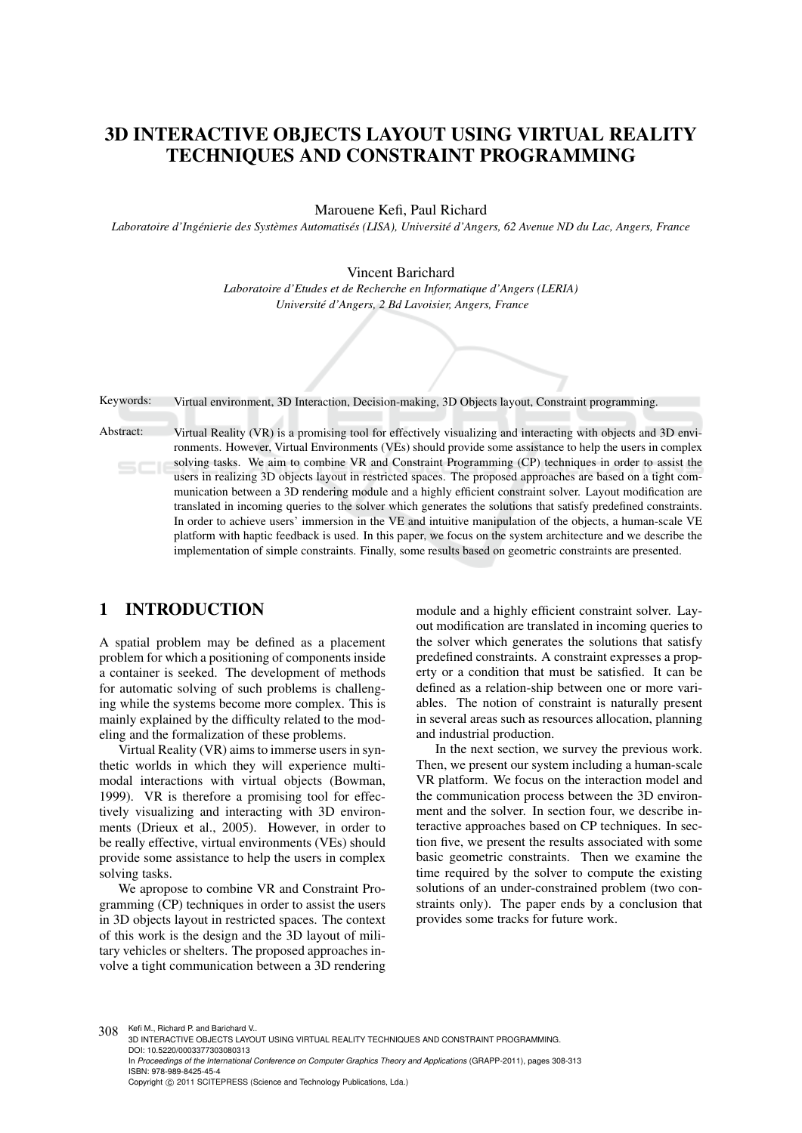# 3D INTERACTIVE OBJECTS LAYOUT USING VIRTUAL REALITY TECHNIQUES AND CONSTRAINT PROGRAMMING

Marouene Kefi, Paul Richard

*Laboratoire d'Ingenierie des Syst ´ emes Automatis ` es (LISA), Universit ´ e d'Angers, 62 Avenue ND du Lac, Angers, France ´*

Vincent Barichard

*Laboratoire d'Etudes et de Recherche en Informatique d'Angers (LERIA) Universite d'Angers, 2 Bd Lavoisier, Angers, France ´*

Keywords: Virtual environment, 3D Interaction, Decision-making, 3D Objects layout, Constraint programming.

Abstract: Virtual Reality (VR) is a promising tool for effectively visualizing and interacting with objects and 3D environments. However, Virtual Environments (VEs) should provide some assistance to help the users in complex solving tasks. We aim to combine VR and Constraint Programming (CP) techniques in order to assist the users in realizing 3D objects layout in restricted spaces. The proposed approaches are based on a tight communication between a 3D rendering module and a highly efficient constraint solver. Layout modification are translated in incoming queries to the solver which generates the solutions that satisfy predefined constraints. In order to achieve users' immersion in the VE and intuitive manipulation of the objects, a human-scale VE platform with haptic feedback is used. In this paper, we focus on the system architecture and we describe the implementation of simple constraints. Finally, some results based on geometric constraints are presented.

# 1 INTRODUCTION

A spatial problem may be defined as a placement problem for which a positioning of components inside a container is seeked. The development of methods for automatic solving of such problems is challenging while the systems become more complex. This is mainly explained by the difficulty related to the modeling and the formalization of these problems.

Virtual Reality (VR) aims to immerse users in synthetic worlds in which they will experience multimodal interactions with virtual objects (Bowman, 1999). VR is therefore a promising tool for effectively visualizing and interacting with 3D environments (Drieux et al., 2005). However, in order to be really effective, virtual environments (VEs) should provide some assistance to help the users in complex solving tasks.

We apropose to combine VR and Constraint Programming (CP) techniques in order to assist the users in 3D objects layout in restricted spaces. The context of this work is the design and the 3D layout of military vehicles or shelters. The proposed approaches involve a tight communication between a 3D rendering

module and a highly efficient constraint solver. Layout modification are translated in incoming queries to the solver which generates the solutions that satisfy predefined constraints. A constraint expresses a property or a condition that must be satisfied. It can be defined as a relation-ship between one or more variables. The notion of constraint is naturally present in several areas such as resources allocation, planning and industrial production.

In the next section, we survey the previous work. Then, we present our system including a human-scale VR platform. We focus on the interaction model and the communication process between the 3D environment and the solver. In section four, we describe interactive approaches based on CP techniques. In section five, we present the results associated with some basic geometric constraints. Then we examine the time required by the solver to compute the existing solutions of an under-constrained problem (two constraints only). The paper ends by a conclusion that provides some tracks for future work.

308 Kefi M., Richard P. and Barichard V.

3D INTERACTIVE OBJECTS LAYOUT USING VIRTUAL REALITY TECHNIQUES AND CONSTRAINT PROGRAMMING. DOI: 10.5220/0003377303080313 In *Proceedings of the International Conference on Computer Graphics Theory and Applications* (GRAPP-2011), pages 308-313 ISBN: 978-989-8425-45-4 Copyright © 2011 SCITEPRESS (Science and Technology Publications, Lda.)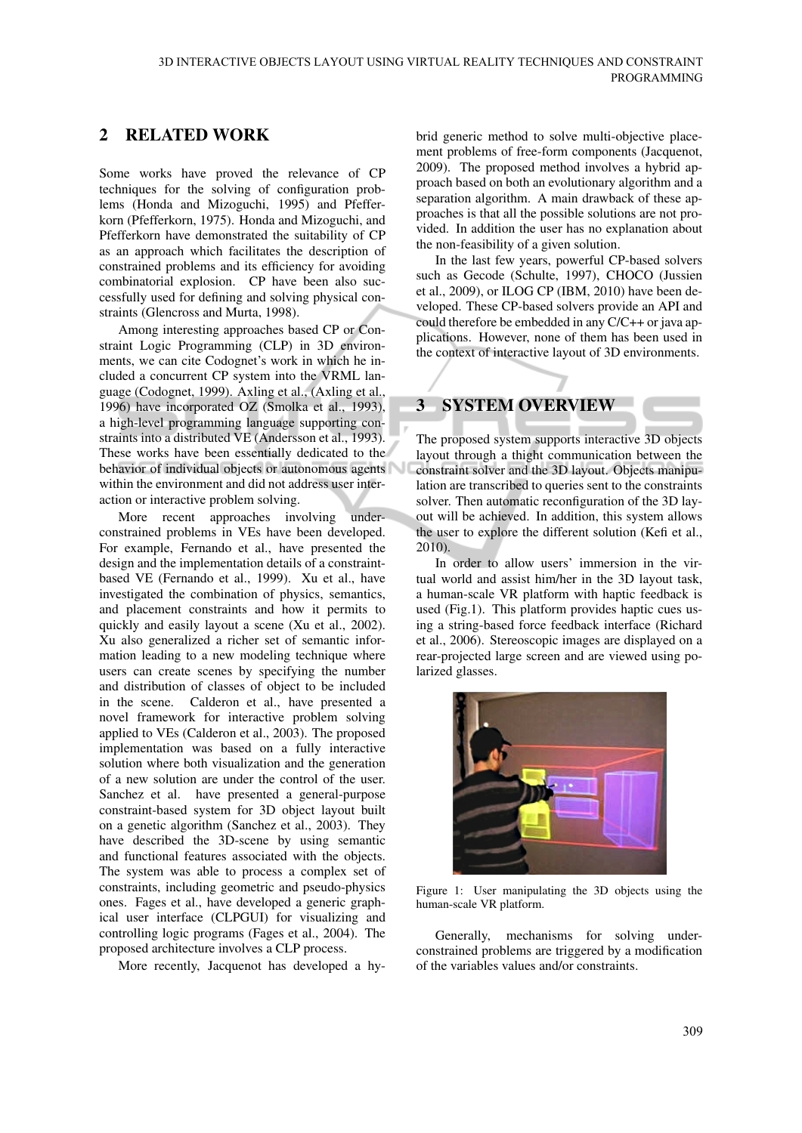# 2 RELATED WORK

Some works have proved the relevance of CP techniques for the solving of configuration problems (Honda and Mizoguchi, 1995) and Pfefferkorn (Pfefferkorn, 1975). Honda and Mizoguchi, and Pfefferkorn have demonstrated the suitability of CP as an approach which facilitates the description of constrained problems and its efficiency for avoiding combinatorial explosion. CP have been also successfully used for defining and solving physical constraints (Glencross and Murta, 1998).

Among interesting approaches based CP or Constraint Logic Programming (CLP) in 3D environments, we can cite Codognet's work in which he included a concurrent CP system into the VRML language (Codognet, 1999). Axling et al., (Axling et al., 1996) have incorporated OZ (Smolka et al., 1993), a high-level programming language supporting constraints into a distributed VE (Andersson et al., 1993). These works have been essentially dedicated to the behavior of individual objects or autonomous agents within the environment and did not address user interaction or interactive problem solving.

More recent approaches involving underconstrained problems in VEs have been developed. For example, Fernando et al., have presented the design and the implementation details of a constraintbased VE (Fernando et al., 1999). Xu et al., have investigated the combination of physics, semantics, and placement constraints and how it permits to quickly and easily layout a scene (Xu et al., 2002). Xu also generalized a richer set of semantic information leading to a new modeling technique where users can create scenes by specifying the number and distribution of classes of object to be included in the scene. Calderon et al., have presented a novel framework for interactive problem solving applied to VEs (Calderon et al., 2003). The proposed implementation was based on a fully interactive solution where both visualization and the generation of a new solution are under the control of the user. Sanchez et al. have presented a general-purpose constraint-based system for 3D object layout built on a genetic algorithm (Sanchez et al., 2003). They have described the 3D-scene by using semantic and functional features associated with the objects. The system was able to process a complex set of constraints, including geometric and pseudo-physics ones. Fages et al., have developed a generic graphical user interface (CLPGUI) for visualizing and controlling logic programs (Fages et al., 2004). The proposed architecture involves a CLP process.

More recently, Jacquenot has developed a hy-

brid generic method to solve multi-objective placement problems of free-form components (Jacquenot, 2009). The proposed method involves a hybrid approach based on both an evolutionary algorithm and a separation algorithm. A main drawback of these approaches is that all the possible solutions are not provided. In addition the user has no explanation about the non-feasibility of a given solution.

In the last few years, powerful CP-based solvers such as Gecode (Schulte, 1997), CHOCO (Jussien et al., 2009), or ILOG CP (IBM, 2010) have been developed. These CP-based solvers provide an API and could therefore be embedded in any C/C++ or java applications. However, none of them has been used in the context of interactive layout of 3D environments.

# 3 SYSTEM OVERVIEW

The proposed system supports interactive 3D objects layout through a thight communication between the constraint solver and the 3D layout. Objects manipulation are transcribed to queries sent to the constraints solver. Then automatic reconfiguration of the 3D layout will be achieved. In addition, this system allows the user to explore the different solution (Kefi et al., 2010).

In order to allow users' immersion in the virtual world and assist him/her in the 3D layout task, a human-scale VR platform with haptic feedback is used (Fig.1). This platform provides haptic cues using a string-based force feedback interface (Richard et al., 2006). Stereoscopic images are displayed on a rear-projected large screen and are viewed using polarized glasses.



Figure 1: User manipulating the 3D objects using the human-scale VR platform.

Generally, mechanisms for solving underconstrained problems are triggered by a modification of the variables values and/or constraints.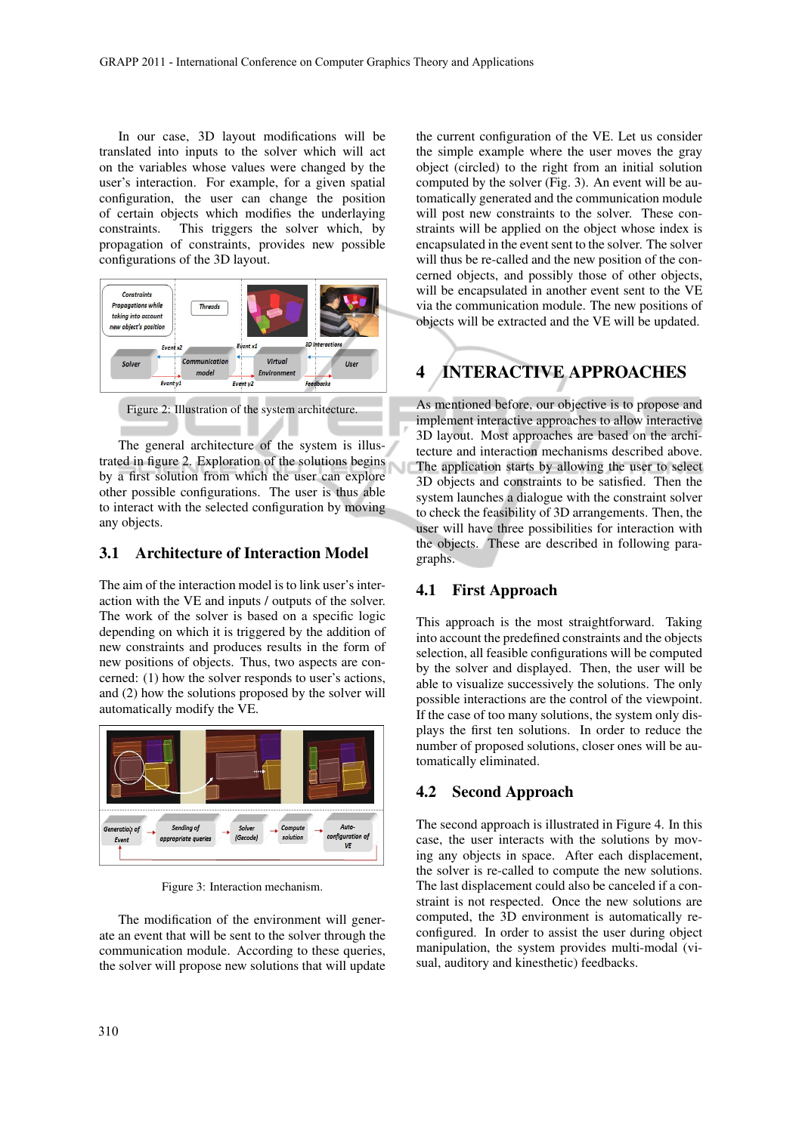In our case, 3D layout modifications will be translated into inputs to the solver which will act on the variables whose values were changed by the user's interaction. For example, for a given spatial configuration, the user can change the position of certain objects which modifies the underlaying constraints. This triggers the solver which, by propagation of constraints, provides new possible configurations of the 3D layout.



Figure 2: Illustration of the system architecture.

The general architecture of the system is illustrated in figure 2. Exploration of the solutions begins by a first solution from which the user can explore other possible configurations. The user is thus able to interact with the selected configuration by moving any objects.

## 3.1 Architecture of Interaction Model

The aim of the interaction model is to link user's interaction with the VE and inputs / outputs of the solver. The work of the solver is based on a specific logic depending on which it is triggered by the addition of new constraints and produces results in the form of new positions of objects. Thus, two aspects are concerned: (1) how the solver responds to user's actions, and (2) how the solutions proposed by the solver will automatically modify the VE.



Figure 3: Interaction mechanism.

The modification of the environment will generate an event that will be sent to the solver through the communication module. According to these queries, the solver will propose new solutions that will update

the current configuration of the VE. Let us consider the simple example where the user moves the gray object (circled) to the right from an initial solution computed by the solver (Fig. 3). An event will be automatically generated and the communication module will post new constraints to the solver. These constraints will be applied on the object whose index is encapsulated in the event sent to the solver. The solver will thus be re-called and the new position of the concerned objects, and possibly those of other objects, will be encapsulated in another event sent to the VE via the communication module. The new positions of objects will be extracted and the VE will be updated.

# 4 INTERACTIVE APPROACHES

As mentioned before, our objective is to propose and implement interactive approaches to allow interactive 3D layout. Most approaches are based on the architecture and interaction mechanisms described above. The application starts by allowing the user to select 3D objects and constraints to be satisfied. Then the system launches a dialogue with the constraint solver to check the feasibility of 3D arrangements. Then, the user will have three possibilities for interaction with the objects. These are described in following paragraphs.

#### 4.1 First Approach

This approach is the most straightforward. Taking into account the predefined constraints and the objects selection, all feasible configurations will be computed by the solver and displayed. Then, the user will be able to visualize successively the solutions. The only possible interactions are the control of the viewpoint. If the case of too many solutions, the system only displays the first ten solutions. In order to reduce the number of proposed solutions, closer ones will be automatically eliminated.

## 4.2 Second Approach

The second approach is illustrated in Figure 4. In this case, the user interacts with the solutions by moving any objects in space. After each displacement, the solver is re-called to compute the new solutions. The last displacement could also be canceled if a constraint is not respected. Once the new solutions are computed, the 3D environment is automatically reconfigured. In order to assist the user during object manipulation, the system provides multi-modal (visual, auditory and kinesthetic) feedbacks.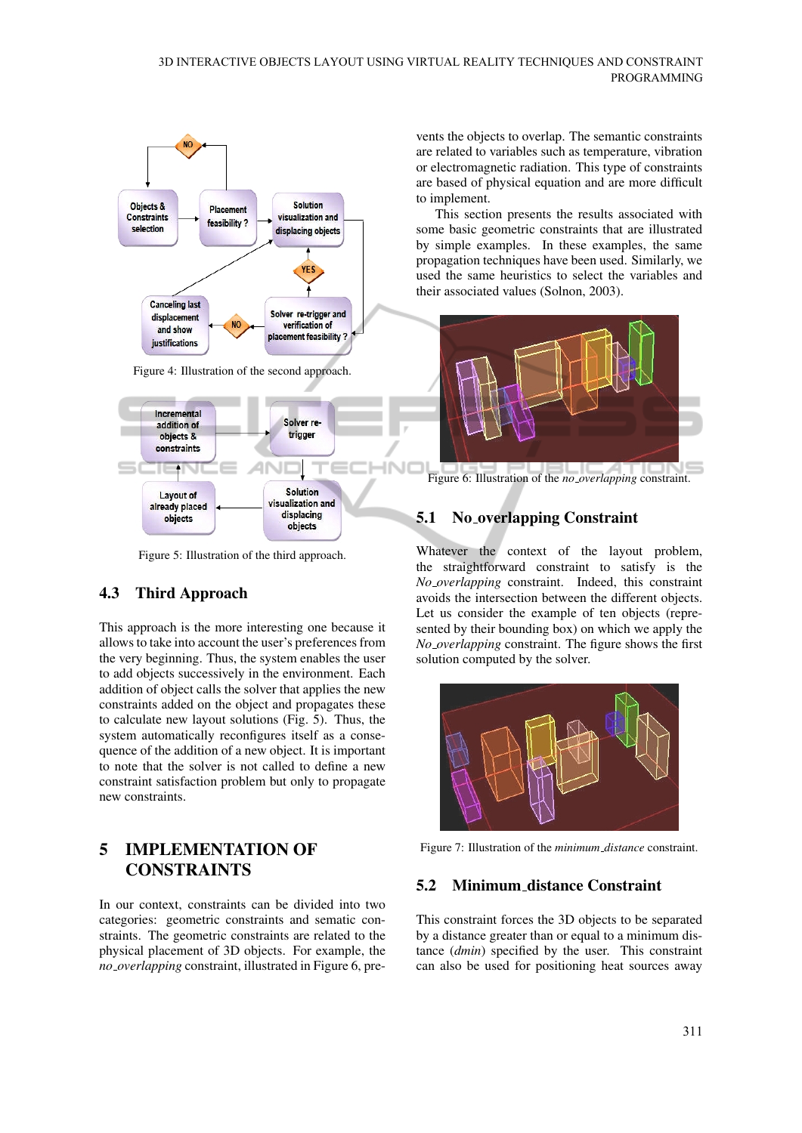

Figure 5: Illustration of the third approach.

# 4.3 Third Approach

This approach is the more interesting one because it allows to take into account the user's preferences from the very beginning. Thus, the system enables the user to add objects successively in the environment. Each addition of object calls the solver that applies the new constraints added on the object and propagates these to calculate new layout solutions (Fig. 5). Thus, the system automatically reconfigures itself as a consequence of the addition of a new object. It is important to note that the solver is not called to define a new constraint satisfaction problem but only to propagate new constraints.

# 5 IMPLEMENTATION OF CONSTRAINTS

In our context, constraints can be divided into two categories: geometric constraints and sematic constraints. The geometric constraints are related to the physical placement of 3D objects. For example, the *no overlapping* constraint, illustrated in Figure 6, pre-

vents the objects to overlap. The semantic constraints are related to variables such as temperature, vibration or electromagnetic radiation. This type of constraints are based of physical equation and are more difficult to implement.

This section presents the results associated with some basic geometric constraints that are illustrated by simple examples. In these examples, the same propagation techniques have been used. Similarly, we used the same heuristics to select the variables and their associated values (Solnon, 2003).



Figure 6: Illustration of the *no overlapping* constraint.

## 5.1 No overlapping Constraint

Whatever the context of the layout problem, the straightforward constraint to satisfy is the *No overlapping* constraint. Indeed, this constraint avoids the intersection between the different objects. Let us consider the example of ten objects (represented by their bounding box) on which we apply the *No overlapping* constraint. The figure shows the first solution computed by the solver.



Figure 7: Illustration of the *minimum distance* constraint.

## 5.2 Minimum distance Constraint

This constraint forces the 3D objects to be separated by a distance greater than or equal to a minimum distance (*dmin*) specified by the user. This constraint can also be used for positioning heat sources away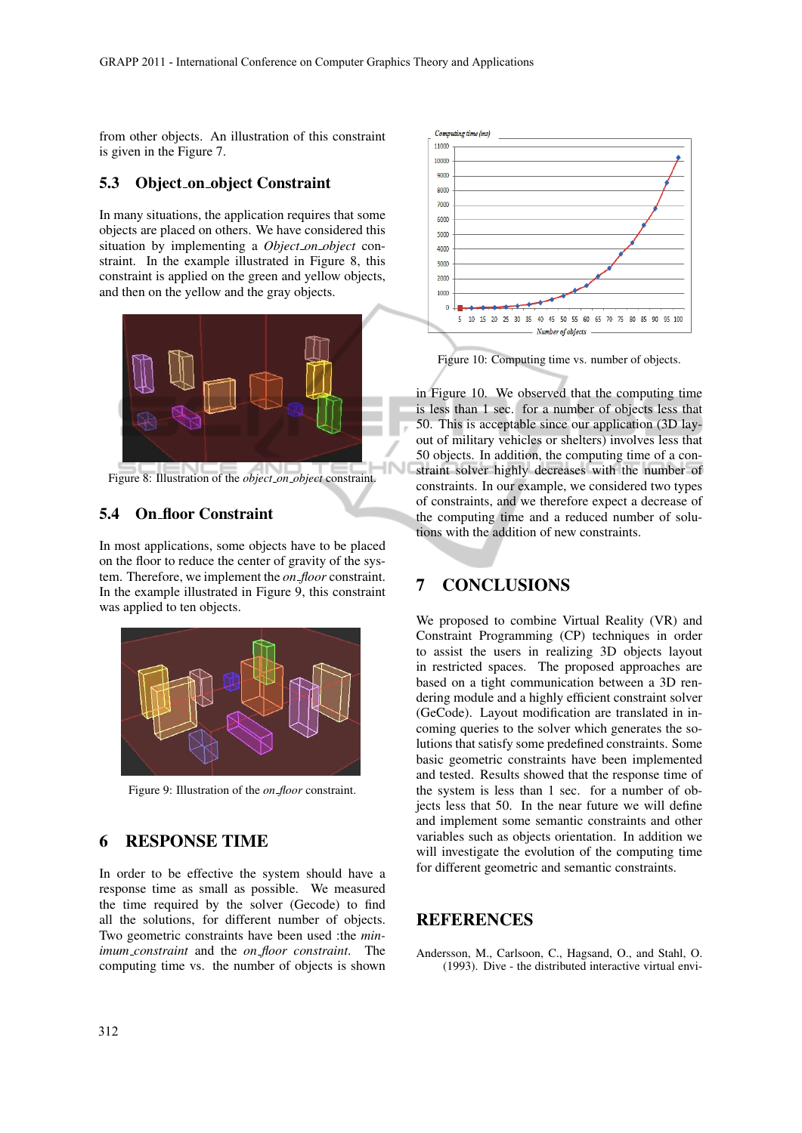from other objects. An illustration of this constraint is given in the Figure 7.

#### 5.3 Object\_on\_object Constraint

In many situations, the application requires that some objects are placed on others. We have considered this situation by implementing a *Object on object* constraint. In the example illustrated in Figure 8, this constraint is applied on the green and yellow objects, and then on the yellow and the gray objects.



Figure 8: Illustration of the *object on object* constraint.

## 5.4 On floor Constraint

In most applications, some objects have to be placed on the floor to reduce the center of gravity of the system. Therefore, we implement the *on floor* constraint. In the example illustrated in Figure 9, this constraint was applied to ten objects.



Figure 9: Illustration of the *on floor* constraint.

## 6 RESPONSE TIME

In order to be effective the system should have a response time as small as possible. We measured the time required by the solver (Gecode) to find all the solutions, for different number of objects. Two geometric constraints have been used :the *minimum constraint* and the *on floor constraint*. The computing time vs. the number of objects is shown



Figure 10: Computing time vs. number of objects.

in Figure 10. We observed that the computing time is less than 1 sec. for a number of objects less that 50. This is acceptable since our application (3D layout of military vehicles or shelters) involves less that 50 objects. In addition, the computing time of a constraint solver highly decreases with the number of constraints. In our example, we considered two types of constraints, and we therefore expect a decrease of the computing time and a reduced number of solutions with the addition of new constraints.

# 7 CONCLUSIONS

We proposed to combine Virtual Reality (VR) and Constraint Programming (CP) techniques in order to assist the users in realizing 3D objects layout in restricted spaces. The proposed approaches are based on a tight communication between a 3D rendering module and a highly efficient constraint solver (GeCode). Layout modification are translated in incoming queries to the solver which generates the solutions that satisfy some predefined constraints. Some basic geometric constraints have been implemented and tested. Results showed that the response time of the system is less than 1 sec. for a number of objects less that 50. In the near future we will define and implement some semantic constraints and other variables such as objects orientation. In addition we will investigate the evolution of the computing time for different geometric and semantic constraints.

# **REFERENCES**

Andersson, M., Carlsoon, C., Hagsand, O., and Stahl, O. (1993). Dive - the distributed interactive virtual envi